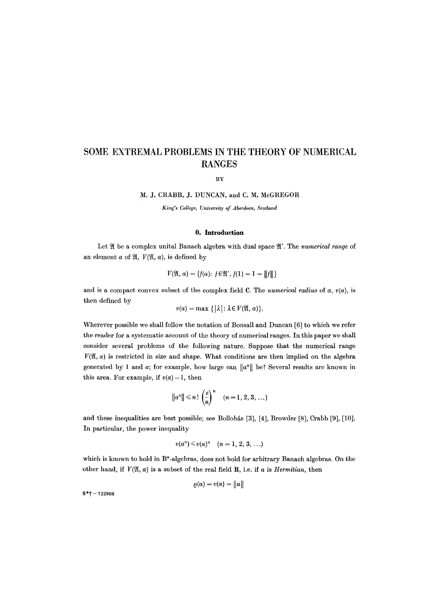# **SOME EXTREMAL PROBLEMS IN THE THEORY OF NUMERICAL RANGES**

BY

### M. J. CRABB, J. DUNCAN, and C. M. McGREGOR

*King's College, University of Aberdeen, Scotland* 

### **O. Introduction**

Let  $\mathfrak A$  be a complex unital Banach algebra with dual space  $\mathfrak A'$ . The *numerical range* of an element  $a$  of  $\mathfrak{A}, V(\mathfrak{A}, a)$ , is defined by

$$
V(\mathfrak{A}, a) = \{f(a): f \in \mathfrak{A}', f(1) = 1 = ||f||\}
$$

and is a compact convex subset of the complex field C. The *numerical radius* of  $a, v(a)$ , is then defined by

$$
v(a) = \max \{ |\lambda| : \lambda \in V(\mathfrak{A}, a) \}.
$$

Wherever possible we shall follow the notation of Bonsall and Duncan [6] to which we refer the reader for a systematic account of the theory of numerical ranges. In this paper we shall consider several problems of the following nature. Suppose that the numerical range  $V(\mathfrak{A}, a)$  is restricted in size and shape. What conditions are then implied on the algebra generated by 1 and  $a$ ; for example, how large can  $||a^n||$  be? Several results are known in this area. For example, if  $v(a) = 1$ , then

$$
||a^n|| \leq n! \left(\frac{e}{n}\right)^n \quad (n=1,2,3,\ldots)
$$

and these inequalities are best possible; see Bollobás [3], [4], Browder [8], Crabb [9], [10]. In particular, the power inequality

$$
v(a^n) \leq v(a)^n \quad (n = 1, 2, 3, \ldots)
$$

which is known to hold in B\*-algebras, does not hold for arbitrary Banach algebras. On the other hand, if  $V(\mathfrak{A}, a)$  is a subset of the real field R, i.e. if a is *Hermitian*, then

$$
\varrho(a)=v(a)=\big\|a\big\|
$$

 $8*$ † - 722908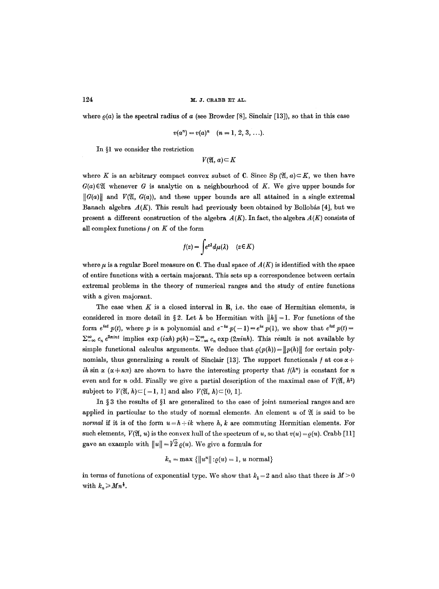where  $\rho(a)$  is the spectral radius of a (see Browder [8], Sinclair [13]), so that in this case

$$
v(a^n) = v(a)^n \quad (n = 1, 2, 3, \ldots).
$$

In  $l$  we consider the restriction

 $V(\mathfrak{A}, a) \subseteq K$ 

where K is an arbitrary compact convex subset of C. Since Sp  $(\mathfrak{A}, a) \subset K$ , we then have  $G(a) \in \mathfrak{A}$  whenever G is analytic on a neighbourhood of K. We give upper bounds for  $\|\mathcal{G}(a)\|$  and  $V(\mathfrak{A}, \mathcal{G}(a))$ , and these upper bounds are all attained in a single extremal Banach algebra  $A(K)$ . This result had previously been obtained by Bollobás [4], but we present a different construction of the algebra  $A(K)$ . In fact, the algebra  $A(K)$  consists of all complex functions  $f$  on  $K$  of the form

$$
f(z) = \int e^{z\lambda} d\mu(\lambda) \quad (z \in K)
$$

where  $\mu$  is a regular Borel measure on C. The dual space of  $A(K)$  is identified with the space of entire functions with a certain majorant. This sets up a correspondence between certain extremal problems in the theory of numerical ranges and the study of entire functions with a given majorant.

The case when  $K$  is a closed interval in  $R$ , i.e. the case of Hermitian elements, is considered in more detail in §2. Let h be Hermitian with  $||h|| = 1$ . For functions of the form  $e^{i\alpha t} p(t)$ , where p is a polynomial and  $e^{-i\alpha} p(-1) = e^{i\alpha} p(1)$ , we show that  $e^{i\alpha t} p(t) =$  $\sum_{-\infty}^{\infty} c_n e^{2\pi int}$  implies  $\exp(i\alpha h) p(h) = \sum_{-\infty}^{\infty} c_n \exp(2\pi inh)$ . This result is not available by simple functional calculus arguments. We deduce that  $\rho(p(h))=||p(h)||$  for certain polynomials, thus generalizing a result of Sinclair [13]. The support functionals f at  $\cos \alpha +$ *ih* sin  $\alpha (\alpha + n\pi)$  are shown to have the interesting property that  $f(h^n)$  is constant for n even and for n odd. Finally we give a partial description of the maximal case of  $V(\mathfrak{A}, h^2)$ subject to  $V(\mathfrak{A}, h) \subset [-1, 1]$  and also  $V(\mathfrak{A}, h) \subset [0, 1]$ .

In  $\S 3$  the results of  $\S 1$  are generalized to the case of joint numerical ranges and are applied in particular to the study of normal elements. An element  $u$  of  $\mathfrak A$  is said to be *normal* if it is of the form  $u = h + ik$  where h, k are commuting Hermitian elements. For such elements,  $V(\mathfrak{A}, u)$  is the convex hull of the spectrum of u, so that  $v(u) = o(u)$ . Crabb [11] gave an example with  $||u|| = \sqrt{2} \rho(u)$ . We give a formula for

$$
k_n = \max \{||u^n|| : \varrho(u) = 1, u \text{ normal}\}
$$

in terms of functions of exponential type. We show that  $k_1 = 2$  and also that there is  $M > 0$ with  $k_n \geqslant M n^{\frac{1}{3}}$ .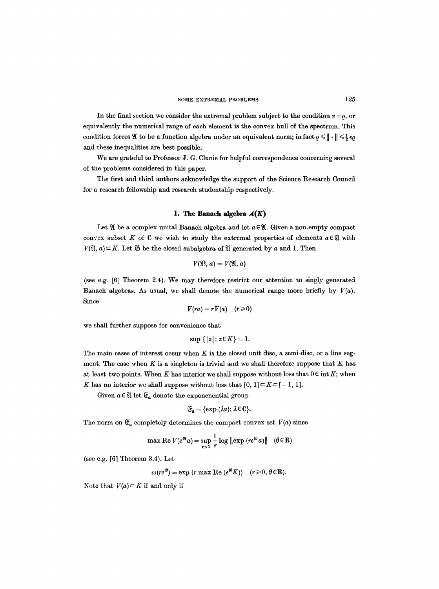In the final section we consider the extremal problem subject to the condition  $v = 0$ , or equivalently the numerical range of each element is the convex hull of the spectrum. This condition forces  $\mathfrak{A}$  to be a function algebra under an equivalent norm; in fact  $\rho \leq \|\cdot\| \leq \frac{1}{2}e\rho$ and these inequalities are best possible.

We are grateful to Professor J. G. Clunie for helpful correspondence concerning several of the problems considered in this paper.

The first and third authors acknowledge the support of the Science Research Council for a research fellowship and research studentship respectively.

## **1.** The Banach algebra  $A(K)$

Let  $\mathfrak A$  be a complex unital Banach algebra and let  $a \in \mathfrak A$ . Given a non-empty compact convex subset K of C we wish to study the extremal properties of elements  $a \in \mathfrak{A}$  with  $V(\mathfrak{A}, a) \subset K$ . Let  $\mathfrak{B}$  be the closed subalgebra of  $\mathfrak{A}$  generated by a and 1. Then

$$
V(\mathfrak{B},a)=V(\mathfrak{A},a)
$$

(see e.g. [6] Theorem 2.4). We may therefore restrict our attention to singly generated Banach algebras. As usual, we shall denote the numerical range more briefly by  $V(a)$ . Since

$$
V(ra) = rV(a) \quad (r \geq 0)
$$

we shall further suppose for convenience that

$$
\sup\{|z|:z\in K\}=1.
$$

The main cases of interest occur when  $K$  is the closed unit disc, a semi-disc, or a line segment. The case when  $K$  is a singleton is trivial and we shall therefore suppose that  $K$  has at least two points. When K has interior we shall suppose without loss that  $0 \in \text{int } K$ ; when K has no interior we shall suppose without loss that  $[0, 1] \subset K \subset [-1, 1]$ .

Given  $a \in \mathfrak{A}$  let  $\mathfrak{C}_a$  denote the exponenential group

$$
\mathfrak{E}_a = \{\exp{(\lambda a)} : \lambda \in \mathbb{C}\}.
$$

The norm on  $\mathfrak{E}_a$  completely determines the compact convex set  $V(a)$  since

$$
\max \operatorname{Re} V(e^{i\theta} a) = \sup_{r>0} \frac{1}{r} \log \|\exp (re^{i\theta} a)\| \quad (\theta \in \mathbb{R})
$$

(see e.g. [6] Theorem 3.4). Let

$$
\omega(re^{i\theta}) = \exp(r \max \text{Re}(e^{i\theta}K)) \quad (r \geq 0, \theta \in \mathbb{R}).
$$

Note that  $V(a) \subset K$  if and only if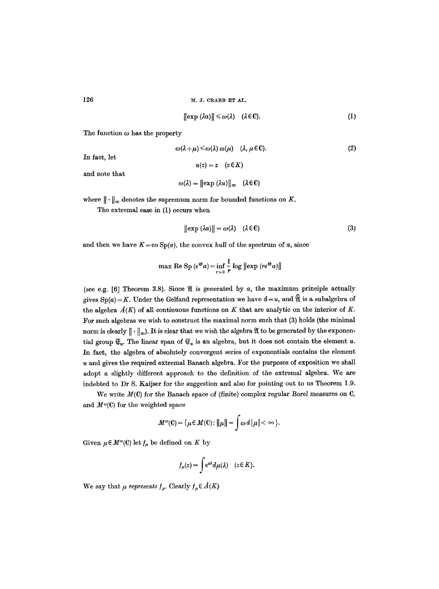$$
\|\exp(\lambda a)\| \leq \omega(\lambda) \quad (\lambda \in \mathbb{C}). \tag{1}
$$

**(2)** 

The function  $\omega$  has the property

 $\omega(\lambda+\mu)\leq \omega(\lambda)~\omega(\mu)$  ( $\lambda,~\mu \in \mathbb{C}$ ).  $u(z)=z \quad (z \in K)$ 

and note that

In fact, let

$$
\omega(\lambda) = ||\exp(\lambda u)||_{\infty} \quad (\lambda \in \mathbb{C})
$$

where  $\|\cdot\|_{\infty}$  denotes the supremum norm for bounded functions on K.

The extremal case in (1) occurs when

$$
\|\exp\left(\lambda a\right)\| = \omega(\lambda) \quad (\lambda \in \mathbb{C}) \tag{3}
$$

and then we have  $K = \infty$  Sp(a), the convex hull of the spectrum of a, since

$$
\max \, \text{Re}\, \, \text{Sp}\, \, (e^{i\theta}a) = \inf_{r>0} \frac{1}{r} \, \log \, \left\| \exp \, \left( r e^{i\theta}a \right) \right\|
$$

(see e.g.  $[6]$  Theorem 3.8). Since  $\mathfrak A$  is generated by a, the maximum principle actually gives  $Sp(a) = K$ . Under the Gelfand representation we have  $d = u$ , and  $\hat{\mathfrak{A}}$  is a subalgebra of the algebra  $A(K)$  of all continuous functions on K that are analytic on the interior of K. For such algebras we wish to construct the maximal norm such that (3) holds (the minimal norm is clearly  $\|\cdot\|_{\infty}$ ). It is clear that we wish the algebra  $\mathfrak A$  to be generated by the exponential group  $\mathfrak{E}_u$ . The linear span of  $\mathfrak{E}_u$  is an algebra, but it does not contain the element u. In fact, the algebra of absolutely convergent series of exponentials contains the element  $u$  and gives the required extremal Banach algebra. For the purposes of exposition we shall adopt a slightly different approach to the definition of the extremal algebra. We are indebted to Dr S. Kaijser for the suggestion and also for pointing out to us Theorem 1.9.

We write  $M(C)$  for the Banach space of (finite) complex regular Borel measures on C, and  $M^{\omega}(\mathbb{C})$  for the weighted space

$$
M^{\omega}(\mathbb{C}) = \{ \mu \in M(\mathbb{C}) : ||\mu|| = \int \omega d |\mu| < \infty \}.
$$

Given  $\mu \in M^{\omega}(\mathbb{C})$  let  $f_{\mu}$  be defined on K by

$$
f_{\mu}(z) = \int e^{z\lambda} d\mu(\lambda) \quad (z \in K).
$$

We say that  $\mu$  *represents*  $f_{\mu}$ . Clearly  $f_{\mu} \in \mathring{A}(K)$ .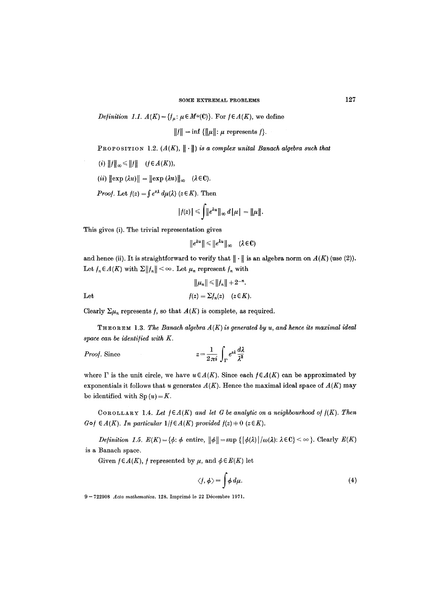*Definition 1.1.*  $A(K) = \{f_{\mu} : \mu \in M^{\omega}(C)\}$ . For  $f \in A(K)$ , we define

 $||f|| = \inf \{||\mu||: \mu \text{ represents } f\}.$ 

PROPOSITION 1.2.  $(A(K), \| \cdot \|)$  is a complex unital Banach algebra such that

(*i*)  $||f||_{\infty} \le ||f||$   $(f \in A(K)),$ 

 $(iii)$   $\|\exp(\lambda u)\| = \|\exp(\lambda u)\|_{\infty}$  ( $\lambda \in \mathbb{C}$ ).

*Proof.* Let  $f(z) = \int e^{z\lambda} d\mu(\lambda)$  ( $z \in K$ ). Then

$$
|f(z)| \leqslant \int \lVert e^{\lambda u} \rVert_{\infty} d\lVert \mu \rVert = \lVert \mu \rVert.
$$

This gives (i). The trivial representation gives

 $\|e^{\lambda u}\| \leqslant \|e^{\lambda u}\|_{\infty}$  ( $\lambda \in \mathbb{C}$ )

and hence (ii). It is straightforward to verify that  $\|\cdot\|$  is an algebra norm on  $A(K)$  (use (2)). Let  $f_n\in A(K)$  with  $\Sigma||f_n|| < \infty$ . Let  $\mu_n$  represent  $f_n$  with

$$
||\mu_n|| \le ||f_n|| + 2^{-n}.
$$
  
Let 
$$
f(z) = \sum f_n(z) \quad (z \in K).
$$

Clearly  $\Sigma \mu_n$  represents f, so that  $A(K)$  is complete, as required.

 $THEOREM 1.3. The Banach algebra  $A(K)$  is generated by  $u$ , and hence its maximal ideal$ *space can be identi/ied with K.* 

*Proof.* Since 
$$
z = \frac{1}{2\pi i} \int_{\Gamma} e^{z\lambda} \frac{d\lambda}{\lambda^2}
$$

where  $\Gamma$  is the unit circle, we have  $u \in A(K)$ . Since each  $f \in A(K)$  can be approximated by exponentials it follows that u generates  $A(K)$ . Hence the maximal ideal space of  $A(K)$  may be identified with  $Sp(u) = K$ .

COROLLARY 1.4. Let  $f \in A(K)$  and let G be analytic on a neighbourhood of  $f(K)$ . Then  $G \circ f \in A(K)$ . In particular  $1/f \in A(K)$  provided  $f(z) \neq 0$  ( $z \in K$ ).

*Definition 1.5.*  $E(K) = \{\phi: \phi \text{ entire}, \|\phi\| = \sup \{|\phi(\lambda)|/\omega(\lambda): \lambda \in \mathbb{C}\} < \infty\}$ . Clearly  $E(K)$ is a Banach space.

Given  $f \in A(K)$ , f represented by  $\mu$ , and  $\phi \in E(K)$  let

$$
\langle f, \phi \rangle = \int \phi \, d\mu. \tag{4}
$$

9-722908 *Acta mathematica.* 128. Imprimé le 22 Décembre 1971.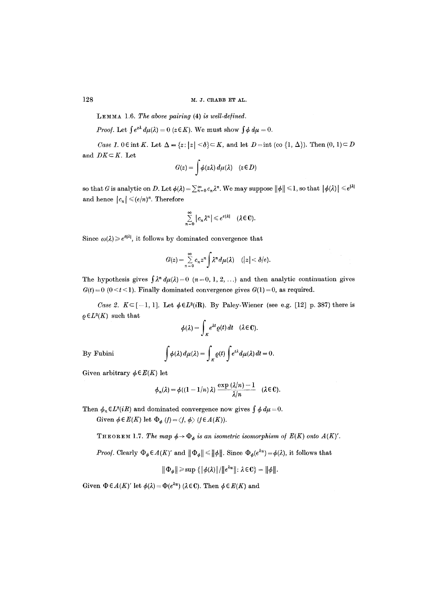LEMMA 1.6. The above pairing **(4)** is well-defined.

*Proof.* Let  $\int e^{z\lambda} d\mu(\lambda) = 0$  ( $z \in K$ ). We must show  $\int \phi d\mu = 0$ .

*Case 1.0Eint K.* Let  $\Delta = \{z: |z| < \delta\} \subset K$ , and let  $D =$ int (co  $\{1, \Delta\}$ ). Then  $(0, 1) \subset D$ and  $DK \subset K$ . Let

$$
G(z) = \int \phi(z\lambda) \, d\mu(\lambda) \quad (z \in D)
$$

so that G is analytic on D. Let  $\phi(\lambda) = \sum_{n=0}^{\infty} c_n \lambda^n$ . We may suppose  $\|\phi\| \leq 1$ , so that  $|\phi(\lambda)| \leq e^{|\lambda|}$ and hence  $|c_n| \leqslant (e/n)^n$ . Therefore

$$
\sum_{k=0}^{\infty} |c_n \lambda^n| \leqslant e^{e|\lambda|} \quad (\lambda \in \mathbb{C}).
$$

Since  $\omega(\lambda) \geq e^{\delta |\lambda|}$ , it follows by dominated convergence that

 $\eta$ 

$$
G(z) = \sum_{n=0}^{\infty} c_n z^n \int \lambda^n d\mu(\lambda) \quad (|z| < \delta/e).
$$

The hypothesis gives  $\int \lambda^n d\mu(\lambda) = 0$   $(n = 0, 1, 2, ...)$  and then analytic continuation gives  $G(t) = 0$  ( $0 \lt t \lt 1$ ). Finally dominated convergence gives  $G(1) = 0$ , as required.

*Case 2.*  $K \subseteq [-1, 1]$ . Let  $\phi \in L^2(i\mathbb{R})$ . By Paley-Wiener (see e.g. [12] p. 387) there is  $\rho \in L^2(K)$  such that

$$
\phi(\lambda) = \int_K e^{\lambda t} \varrho(t) dt \quad (\lambda \in \mathbb{C}).
$$

By Fubini

$$
\int \phi(\lambda) d\mu(\lambda) = \int_K \varrho(t) \int e^{t\lambda} d\mu(\lambda) dt = 0.
$$

Given arbitrary  $\phi \in E(K)$  let

$$
\phi_n(\lambda) = \phi((1 - 1/n) \lambda) \frac{\exp{(\lambda/n)} - 1}{\lambda/n} \quad (\lambda \in \mathbb{C}).
$$

Then  $\phi_n \in L^2(iR)$  and dominated convergence now gives  $\int \phi \, d\mu = 0$ .

Given  $\phi \in E(K)$  let  $\Phi_{\phi}(f) = \langle f, \phi \rangle$  ( $f \in A(K)$ ).

THEOREM 1.7. *The map*  $\phi \rightarrow \Phi_{\phi}$  *is an isometric isomorphism of E(K) onto A(K)'.* 

*Proof.* Clearly  $\Phi_{\phi} \in A(K)'$  and  $\|\Phi_{\phi}\| \le \|\phi\|$ . Since  $\Phi_{\phi}(e^{\lambda u}) = \phi(\lambda)$ , it follows that

$$
\|\Phi_{\phi}\| \geqslant \sup \{|\phi(\lambda)|/||e^{\lambda u}||: \lambda \in \mathbb{C}\} = \|\phi\|.
$$

Given  $\Phi \in A(K)'$  let  $\phi(\lambda) = \Phi(e^{\lambda u})$  ( $\lambda \in \mathbb{C}$ ). Then  $\phi \in E(K)$  and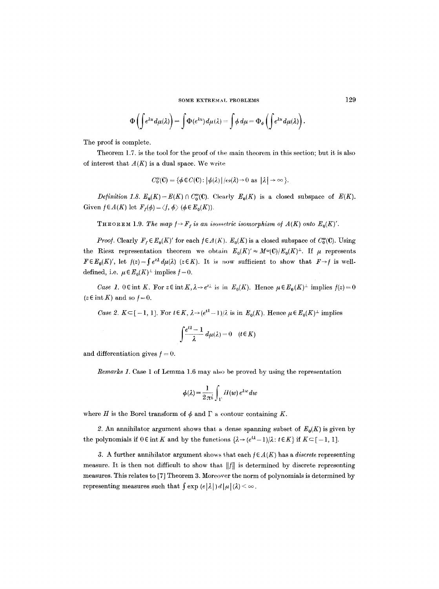$$
\Phi\left(\int e^{\lambda u} d\mu(\lambda)\right) = \int \Phi(e^{\lambda u}) d\mu(\lambda) = \int \phi d\mu = \Phi_{\phi}\left(\int e^{\lambda u} d\mu(\lambda)\right).
$$

The proof is complete.

Theorem 1.7. is the tool for the proof of the main theorem in this section; but it is also of interest that  $A(K)$  is a dual space. We write

$$
C_0^{\omega}(\mathbb{C}) = \{ \phi \in C(\mathbb{C}) : |\phi(\lambda)|/\omega(\lambda) \to 0 \text{ as } |\lambda| \to \infty \}.
$$

*Definition 1.8.*  $E_0(K) = E(K) \cap C_0^{\omega}(0)$ . Clearly  $E_0(K)$  is a closed subspace of  $E(K)$ . Given  $f \in A(K)$  let  $F_f(\phi) = \langle f, \phi \rangle$  ( $\phi \in E_0(K)$ ).

**THEOREM 1.9.** *The map*  $f \rightarrow F_f$  *is an isometric isomorphism of A(K) onto E<sub>0</sub>(K)'.* 

*Proof.* Clearly  $F_f \in E_0(K)'$  for each  $f \in A(K)$ .  $E_0(K)$  is a closed subspace of  $C_0^{\omega}(0)$ . Using the Riesz representation theorem we obtain  $E_0(K) \approx M^{\omega}(C)/E_0(K)^{\perp}$ . If  $\mu$  represents  $F\in E_0(K)'$ , let  $f(z) = \int e^{z\lambda} d\mu(\lambda)$  ( $z \in K$ ). It is now sufficient to show that  $F \to f$  is welldefined, i.e.  $\mu \in E_0(K)^{\perp}$  implies  $f = 0$ .

*Case 1.*  $0 \in \text{int } K$ . For  $z \in \text{int } K$ ,  $\lambda \to e^{z\lambda}$  is in  $E_0(K)$ . Hence  $\mu \in E_0(K)^{\perp}$  implies  $f(z) = 0$  $(z \in \text{int } K)$  and so  $f = 0$ .

*Case 2.*  $K \subset [-1, 1]$ . For  $t \in K$ ,  $\lambda \rightarrow (e^{t\lambda} - 1)/\lambda$  is in  $E_0(K)$ . Hence  $\mu \in E_0(K)^{\perp}$  implies

$$
\int \frac{e^{t\lambda}-1}{\lambda} d\mu(\lambda) = 0 \quad (t \in K)
$$

and differentiation gives  $f = 0$ .

*Remarks 1.* Case 1 of Lemma 1.6 may also be proved by using the representation

$$
\phi(\lambda) = \frac{1}{2\pi i} \int_{\mathcal{X}} H(w) e^{\lambda w} dw
$$

where H is the Borel transform of  $\phi$  and  $\Gamma$  a contour containing K.

2. An annihilator argument shows that a dense spanning subset of  $E_0(K)$  is given by the polynomials if  $0 \in \text{int } K$  and by the functions  $\{\lambda \to (e^{t\lambda} - 1)/\lambda : t \in K\}$  if  $K \subset [-1, 1]$ .

3. A further annihilator argument shows that each  $f \in A(K)$  has a *discrete* representing measure. It is then not difficult to show that  $||f||$  is determined by discrete representing measures. This relates to [7] Theorem 3. Moreover the norm of polynomials is determined by representing measures such that  $\int \exp(e|\lambda|) d|\mu|(\lambda) < \infty$ .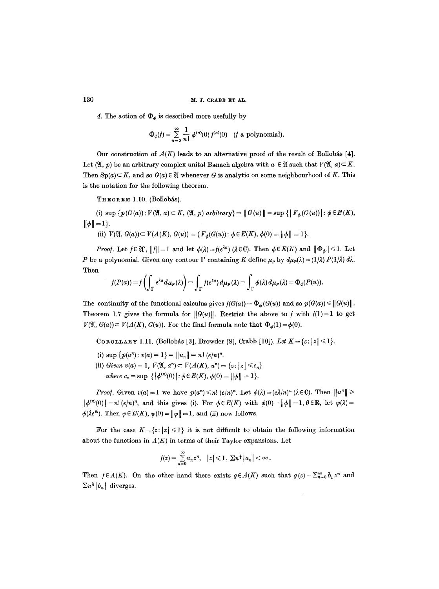4. The action of  $\Phi_{\phi}$  is described more usefully by

$$
\Phi_{\phi}(f) = \sum_{n=0}^{\infty} \frac{1}{n!} \phi^{(n)}(0) f^{(n)}(0) \quad (f \text{ a polynomial}).
$$

Our construction of  $A(K)$  leads to an alternative proof of the result of Bollobás [4]. Let  $(\mathfrak{A}, p)$  be an arbitrary complex unital Banach algebra with  $\alpha \in \mathfrak{A}$  such that  $V(\mathfrak{A}, a) \subset K$ . Then  $\text{Sp}(a) \subset K$ , and so  $G(a) \in \mathfrak{A}$  whenever G is analytic on some neighbourhood of K. This is the notation for the following theorem.

THEOREM 1.10. (Bollobás).

(i)  $\sup \{p(G(a)) : V(\mathfrak{A}, a) \subset K, (\mathfrak{A}, p) \text{ arbitrary} \} = ||G(u)|| = \sup \{ |F_{a}(G(u))| : \phi \in E(K),$  $\|\phi\| = 1$ .

(ii)  $V(\mathfrak{A}, G(a)) \subset V(A(K), G(u)) = \{F_a(G(u)) : \phi \in E(K), \phi(0) = ||\phi|| = 1\}.$ 

*Proof.* Let  $f \in \mathfrak{A}'$ ,  $||f|| = 1$  and let  $\phi(\lambda) = f(e^{\lambda a})$  ( $\lambda \in \mathbb{C}$ ). Then  $\phi \in E(K)$  and  $||\Phi_{\phi}|| \leq 1$ . Let P be a polynomial. Given any contour  $\Gamma$  containing K define  $\mu_P$  by  $d\mu_P(\lambda) = (1/\lambda) P(1/\lambda) d\lambda$ . Then

$$
f(P(a)) = f\left(\int_{\Gamma} e^{\lambda a} d\mu_P(\lambda)\right) = \int_{\Gamma} f(e^{\lambda a}) d\mu_P(\lambda) = \int_{\Gamma} \phi(\lambda) d\mu_P(\lambda) = \Phi_{\phi}(P(u)).
$$

The continuity of the functional calculus gives  $f(G(a)) = \Phi_{\phi}(G(u))$  and so  $p(G(a)) \leq ||G(u)||$ . Theorem 1.7 gives the formula for  $||G(u)||$ . Restrict the above to f with  $f(1)=1$  to get  $V(\mathfrak{A}, G(a)) \subset V(A(K), G(u))$ . For the final formula note that  $\Phi_{\phi}(1) = \phi(0)$ .

COROLLARY 1.11. (Bollobás [3], Browder [8], Crabb [10]). *Let*  $K = \{z : |z| \le 1\}$ .

- (i)  $\sup \{p(a^n): v(a) = 1\} = ||u_n|| = n! (e/n)^n$ .
- (ii) *Given v*(*a*) = 1,  $V(\mathfrak{A}, a^n) \subset V(A(K), u^n) = \{z : |z| \leq c_n\}$ *where*  $c_n = \sup \{ |\phi^{(n)}(0)| : \phi \in E(K), \phi(0) = ||\phi|| = 1 \}.$

*Proof.* Given  $v(a) = 1$  we have  $p(a^n) \leq n! (e/n)^n$ . Let  $\phi(\lambda) = (e\lambda/n)^n (\lambda \in \mathbb{C})$ . Then  $||u^n|| \geq$  $|\phi^{(n)}(0)| = n! (e/n)^n$ , and this gives (i). For  $\phi \in E(K)$  with  $\phi(0) = ||\phi|| = 1, \theta \in \mathbb{R}$ , let  $\psi(\lambda) =$  $\phi(\lambda e^{i\theta})$ . Then  $\psi \in E(K)$ ,  $\psi(0) = ||\psi|| = 1$ , and (ii) now follows.

For the case  $K = \{z : |z| \leq 1\}$  it is not difficult to obtain the following information about the functions in  $A(K)$  in terms of their Taylor expansions. Let

$$
f(z) = \sum_{n=0}^{\infty} a_n z^n, \quad |z| \leq 1, \ \Sigma n^{\frac{1}{2}} |a_n| < \infty.
$$

Then  $f \in A(K)$ . On the other hand there exists  $g \in A(K)$  such that  $g(z) = \sum_{n=0}^{\infty} b_n z^n$  and  $\sum n^{\frac{1}{2}} |b_n|$  diverges.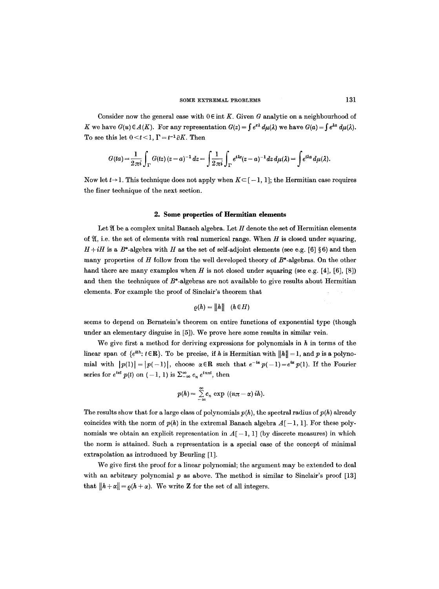Consider now the general case with  $0 \in \text{int } K$ . Given G analytic on a neighbourhood of K we have  $G(u) \in A(K)$ . For any representation  $G(z) = \int e^{z\lambda} d\mu(\lambda)$  we have  $G(a) = \int e^{\lambda a} d\mu(\lambda)$ . To see this let  $0 < t < 1$ ,  $\Gamma = t^{-1} \partial K$ . Then

$$
G(ta) = \frac{1}{2\pi i} \int_{\Gamma} G(tz) (z-a)^{-1} dz = \int_{\Gamma} \frac{1}{2\pi i} \int_{\Gamma} e^{t\lambda z} (z-a)^{-1} dz d\mu(\lambda) = \int e^{t\lambda a} d\mu(\lambda).
$$

Now let  $t\rightarrow 1$ . This technique does not apply when  $K\subseteq [-1, 1]$ ; the Hermitian case requires the finer technique of the next section.

### **2. Some properties of Hermitian elements**

Let  $\mathfrak A$  be a complex unital Banach algebra. Let  $H$  denote the set of Hermitian elements of  $\mathfrak{A}$ , i.e. the set of elements with real numerical range. When H is closed under squaring,  $H+iH$  is a  $B^*$ -algebra with H as the set of self-adjoint elements (see e.g. [6] §6) and then many properties of  $H$  follow from the well developed theory of  $B^*$ -algebras. On the other hand there are many examples when H is not closed under squaring (see e.g. [4], [6], [8]) and then the techniques of  $B^*$ -algebras are not available to give results about Hermitian elements. For example the proof of Sinclair's theorem that

$$
\varrho(h) = ||h|| \quad (h \in H)
$$

seems to depend on Bernstein's theorem on entire functions of exponential type (though under an elementary disguise in [5]). We prove here some results in similar vein.

We give first a method for deriving expressions for polynomials in  $h$  in terms of the linear span of  $\{e^{ith}: t \in \mathbb{R}\}$ . To be precise, if h is Hermitian with  $||h|| = 1$ , and p is a polynomial with  $|p(1)| = |p(-1)|$ , choose  $\alpha \in \mathbb{R}$  such that  $e^{-i\alpha} p(-1) = e^{i\alpha} p(1)$ . If the Fourier series for  $e^{i\alpha t}$   $p(t)$  on  $(-1, 1)$  is  $\sum_{-\infty}^{\infty} c_n e^{in\pi t}$ , then

$$
p(h) = \sum_{-\infty}^{\infty} c_n \exp ((n\pi - \alpha) ih).
$$

The results show that for a large class of polynomials  $p(h)$ , the spectral radius of  $p(h)$  already coincides with the norm of  $p(h)$  in the extremal Banach algebra  $A[-1, 1]$ . For these polynomials we obtain an explicit representation in  $A[-1, 1]$  (by discrete measures) in which the norm is attained. Such a representation is a special case of the concept of minimal extrapolation as introduced by Beurling [1].

We give first the proof for a linear polynomial; the argument may be extended to deal with an arbitrary polynomial  $p$  as above. The method is similar to Sinclair's proof  $[13]$ that  $||h + \alpha|| = \rho(h + \alpha)$ . We write **Z** for the set of all integers.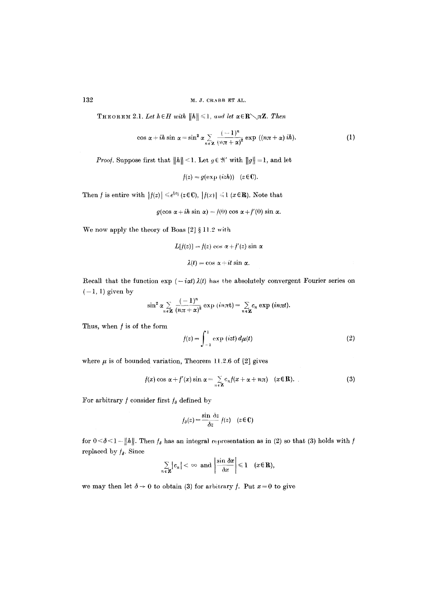# 132 M.J. CRABB ET AL.

**THEOREM** 2.1. Let  $h \in H$  with  $||h|| \leq 1$ , and let  $\alpha \in \mathbb{R} \setminus \pi \mathbb{Z}$ . Then

$$
\cos \alpha + ih \sin \alpha = \sin^2 \alpha \sum_{n \in \mathbf{Z}} \frac{(-1)^n}{(n\pi + \alpha)^2} \exp ((n\pi + \alpha) ih).
$$
 (1)

*Proof.* Suppose first that  $||h|| < 1$ . Let  $g \in \mathcal{H}'$  with  $||g|| = 1$ , and let

$$
f(z) = g(\exp(izh)) \quad (z \in \mathbb{C}).
$$

Then f is entire with  $|f(z)| \leq e^{|z|} (z \in \mathbb{C})$ ,  $|f(x)| \leq 1$  ( $x \in \mathbb{R}$ ). Note that

$$
g(\cos \alpha + ih \sin \alpha) = f(0) \cos \alpha + f'(0) \sin \alpha.
$$

We now apply the theory of Boas  $[2] \S 11.2$  with

$$
L[f(z)] = f(z) \cos \alpha + f'(z) \sin \alpha
$$

$$
\lambda(t) = \cos \alpha + it \sin \alpha.
$$

Recall that the function  $\exp(-i\alpha t)\lambda(t)$  has the absolutely convergent Fourier series on  $(-1, 1)$  given by

$$
\sin^2 \alpha \sum_{n \in \mathbf{Z}} \frac{(-1)^n}{(n\pi + \alpha)^2} \exp (in\pi t) = \sum_{n \in \mathbf{Z}} c_n \exp (in\pi t).
$$

Thus, when  $f$  is of the form

$$
f(z) = \int_{-1}^{1} \exp\left(izt\right) d\mu(t) \tag{2}
$$

where  $\mu$  is of bounded variation, Theorem 11.2.6 of [2] gives

$$
f(x)\cos\alpha + f'(x)\sin\alpha = \sum_{n\in\mathbb{Z}} c_n f(x + \alpha + n\pi) \quad (x \in \mathbb{R}). \tag{3}
$$

For arbitrary  $f$  consider first  $f_\delta$  defined by

$$
f_{\delta}(z) = \frac{\sin \delta z}{\delta z} f(z) \quad (z \in \mathbb{C})
$$

for  $0 < \delta < 1 - ||h||$ . Then  $f_{\delta}$  has an integral representation as in (2) so that (3) holds with  $\tilde{f}$ replaced by  $f_{\delta}$ . Since

$$
\sum_{n\in\mathbf{Z}}|c_n|<\infty\ \text{ and }\left|\frac{\sin\delta x}{\delta x}\right|\leqslant 1\quad(x\in\mathbf{R}),
$$

we may then let  $\delta \to 0$  to obtain (3) for arbitrary f. Put  $x = 0$  to give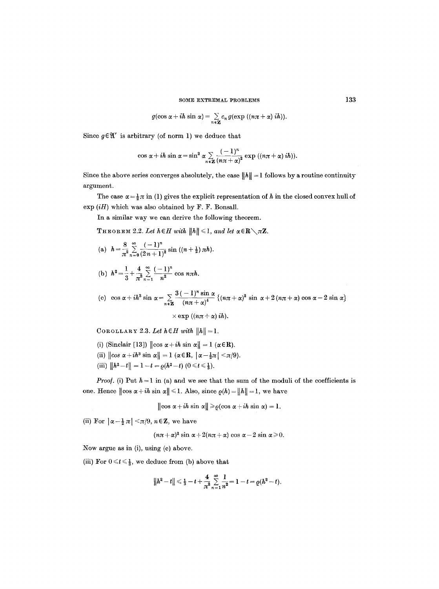$$
g(\cos\alpha+ih\sin\alpha)=\sum_{n\in\mathbf{Z}}c_n\,g(\exp((n\pi+\alpha)\,ih)).
$$

Since  $g \in \mathfrak{A}'$  is arbitrary (of norm 1) we deduce that

$$
\cos \alpha + ih \sin \alpha = \sin^2 \alpha \sum_{n \in \mathbf{Z}} \frac{(-1)^n}{(n\pi + \alpha)^2} \exp ((n\pi + \alpha) ih)).
$$

Since the above series converges absolutely, the case  $||h|| = 1$  follows by a routine continuity argument.

The case  $\alpha = \frac{1}{2}\pi$  in (1) gives the explicit representation of h in the closed convex hull of  $\exp(iH)$  which was also obtained by F. F. Bonsall.

In a similar way we can derive the following theorem.

THEOREM 2.2. Let  $h \in H$  with  $||h|| \leq 1$ , and let  $\alpha \in \mathbb{R} \setminus \pi \mathbb{Z}$ .

- $-8$   $\approx$   $(-1)^n$ (a)  $n = \frac{2}{\pi^2} \sum_{n=0}^{\infty} (2n+1)^2 \sin((n+\frac{1}{2})\pi n).$
- (b)  $h^2 = \frac{1}{2} + \frac{4}{2} \sum_{n=1}^{\infty} \frac{(-1)^n}{n!} \cos n\pi h$ .

(c) 
$$
\cos \alpha + i\hbar^3 \sin \alpha = \sum_{n \in \mathbb{Z}} \frac{3(-1)^n \sin \alpha}{(n\pi + \alpha)^4} \left\{ (n\pi + \alpha)^2 \sin \alpha + 2(n\pi + \alpha) \cos \alpha - 2 \sin \alpha \right\}
$$

 $\times$  exp  $((n\pi + \alpha)$  *ih*).

COROLLARY 2.3. Let  $h \in H$  with  $||h|| = 1$ .

- (i) (Sinclair [13])  $\|\cos \alpha + i\hbar \sin \alpha\| = 1$  ( $\alpha \in \mathbb{R}$ ).
- (ii)  $\|\cos \alpha + i h^3 \sin \alpha\| = 1$  ( $\alpha \in \mathbb{R}$ ,  $|\alpha \frac{1}{2}\pi| < \pi/9$ ).
- (iii)  $||h^2-t|| = 1-t = \varrho(h^2-t)$   $(0 \le t \le \frac{1}{3})$ .

*Proof.* (i) Put  $h = 1$  in (a) and we see that the sum of the moduli of the coefficients is one. Hence  $\|\cos \alpha + i\hbar \sin \alpha\| \leq 1$ . Also, since  $\rho(h) = \|h\| = 1$ , we have

$$
\|\cos \alpha + ih \sin \alpha\| \geq \varrho(\cos \alpha + ih \sin \alpha) = 1.
$$

(ii) For  $|\alpha-\frac{1}{2}\pi| < \pi/9$ ,  $n \in \mathbb{Z}$ , we have

$$
(n\pi + \alpha)^2 \sin \alpha + 2(n\pi + \alpha) \cos \alpha - 2 \sin \alpha \ge 0.
$$

Now argue as in (i), using (e) above.

(iii) For  $0 \leq t \leq \frac{1}{3}$ , we deduce from (b) above that

$$
||h^2-t|| \leq \frac{1}{3}-t+\frac{4}{\pi^2}\sum_{n=1}^{\infty}\frac{1}{n^2}=1-t=\varrho(h^2-t).
$$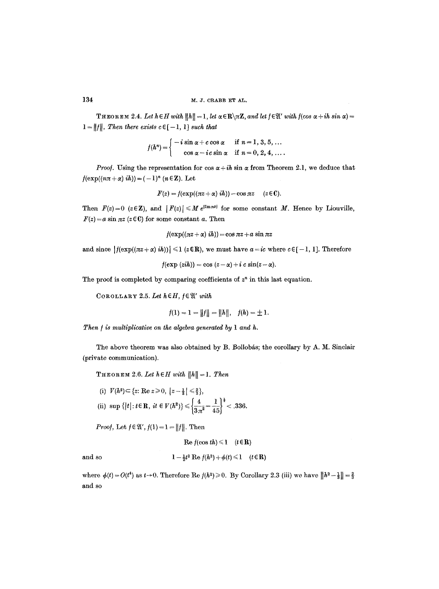THEOREM 2.4. Let  $h \in H$  with  $||h|| = 1$ , let  $\alpha \in \mathbb{R} \setminus \pi \mathbb{Z}$ , and let  $f \in \mathcal{X}'$  with  $f(\cos \alpha + ih \sin \alpha) =$  $1 = ||f||$ , Then there exists  $c \in [-1, 1]$  *such that* 

$$
f(h^n) = \begin{cases} -i \sin \alpha + c \cos \alpha & \text{if } n = 1, 3, 5, ... \\ \cos \alpha - i c \sin \alpha & \text{if } n = 0, 2, 4, ... \end{cases}
$$

*Proof.* Using the representation for  $\cos \alpha + i\hbar \sin \alpha$  from Theorem 2.1, we deduce that  $f(\exp((n\pi + \alpha) i h)) = (-1)^n (n \in \mathbb{Z})$ . Let

$$
F(z) = f(\exp((\pi z + \alpha) \, ih)) - \cos \pi z \quad (z \in \mathbb{C}).
$$

Then  $F(z)=0$  ( $z \in \mathbb{Z}$ ), and  $|F(z)| \leq M e^{\lim nz}$  for some constant M. Hence by Liouville,  $F(z) = a \sin \pi z$  ( $z \in \mathbb{C}$ ) for some constant a. Then

 $f(\exp((\pi z + \alpha) i h)) = \cos \pi z + a \sin \pi z$ 

and since  $|f(\exp((\pi z + \alpha) i h))| \leq 1$  ( $z \in \mathbb{R}$ ), we must have  $a = i c$  where  $c \in [-1, 1]$ . Therefore

 $f(\exp{(zih)}) = \cos{(z-\alpha)} + i c \sin{(z-\alpha)}.$ 

The proof is completed by comparing coefficients of  $z<sup>n</sup>$  in this last equation.

COROLLARY 2.5. Let  $h \in H$ ,  $f \in \mathfrak{A}'$  with

$$
f(1) = 1 = ||f|| = ||h||, \quad f(h) = \pm 1.
$$

*Then f is multiplicative on the algebra generated by 1 and h.* 

The above theorem was also obtained by B. Bollobás; the corollary by A. M. Sinclair (private communication).

**THEOREM** 2.6. Let  $h \in H$  with  $||h|| = 1$ . Then

(i)  $V(h^2) \subset \{z: \text{Re } z \geq 0, \ |z - \frac{1}{3}| \leq \frac{2}{3}\},\$ (ii) sup { $|t|: t \in \mathbb{R}$ ,  $it \in V(h^2)$ }  $\leq \left\{ \frac{4}{3\pi^2} - \frac{1}{45} \right\}^{\frac{1}{8}} < .336$ .

*Proof,* Let  $f \in \mathfrak{A}'$ ,  $f(1) = 1 = ||f||$ . Then

$$
\text{Re } f(\cos th) \leq 1 \quad (t \in \mathbf{R})
$$
\nand so

\n
$$
1 - \frac{1}{2}t^2 \text{ Re } f(h^2) + \phi(t) \leq 1 \quad (t \in \mathbf{R})
$$

where  $\phi(t) = O(t^4)$  as  $t \rightarrow 0$ . Therefore Re  $f(h^2) \ge 0$ . By Corollary 2.3 (iii) we have  $||h^2 - \frac{1}{3}|| = \frac{2}{3}$ and so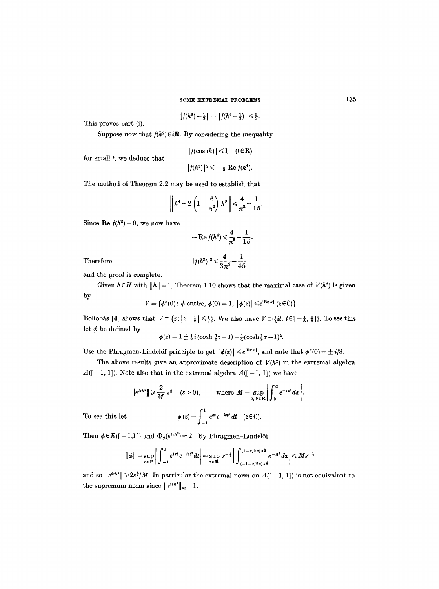$$
\left|f(h^2)-\tfrac{1}{3}\right| = \left|f(h^2-\tfrac{1}{3})\right| \leqslant \tfrac{2}{3}.
$$

This proves part (i).

for small *t,* we deduce that

Suppose now that  $f(h^2) \in i\mathbb{R}$ . By considering the inequality

$$
|f(\cos th)| \leq 1 \quad (t \in \mathbf{R})
$$
  

$$
|f(h^2)|^2 \leq -\frac{1}{3} \operatorname{Re} f(h^4).
$$

The method of Theorem 2.2 may be used to establish that

$$
\left\| h^4 - 2 \left( 1 - \frac{6}{\pi^2} \right) h^2 \right\| \leq \frac{4}{\pi^2} - \frac{1}{15}.
$$

Since Re  $f(h^2) = 0$ , we now have

$$
-\operatorname{Re} f(h^4) \leq \frac{4}{\pi^2} - \frac{1}{15}.
$$

 $Therefore$ 

$$
|f(h^2)|^2 \leqslant \frac{4}{3\pi^2} - \frac{1}{45}
$$

and the proof is complete.

Given  $h \in H$  with  $||h|| = 1$ , Theorem 1.10 shows that the maximal case of  $V(h^2)$  is given by

$$
V = \{\phi''(0): \phi \text{ entire, } \phi(0) = 1, \ |\phi(z)| \leq e^{|\text{Re } z|} \ (z \in \mathbb{C})\}.
$$

Bollobás [4] shows that  $V \supset \{z : |z-\frac{1}{2}| \leq \frac{1}{2}\}$ . We also have  $V \supset \{it : t \in [-\frac{1}{8}, \frac{1}{8}]\}$ . To see this let  $\phi$  be defined by

$$
\phi(z) = 1 \pm \frac{1}{2} i (\cosh \frac{1}{2}z - 1) - \frac{1}{4} (\cosh \frac{1}{2}z - 1)^2.
$$

Use the Phragmen-Lindelöf principle to get  $|\phi(z)| \leq e^{i\text{Re } z}$ , and note that  $\phi''(0) = \pm i/8$ .

The above results give an approximate description of  $V(h^2)$  in the extremal algebra  $A([-1, 1])$ . Note also that in the extremal algebra  $A([-1, 1])$  we have

$$
\|e^{ish^s}\| \geq \frac{2}{M} s^{\frac{1}{2}} \quad (s > 0), \qquad \text{where } M = \sup_{a, b \in \mathbb{R}} \left| \int_b^a e^{-ix^s} dx \right|.
$$
  
To see this let 
$$
\phi(z) = \int_{-1}^1 e^{zt} e^{-ist^s} dt \quad (z \in \mathbb{C}).
$$

Then  $\phi \in E([-1,1])$  and  $\Phi_{\phi}(e^{ish^2}) = 2$ . By Phragmen-Lindelöf

$$
\|\phi\| = \sup_{x \in \mathbf{R}} \left| \int_{-1}^{1} e^{ixt} e^{-ist^2} dt \right| = \sup_{x \in \mathbf{R}} s^{-\frac{1}{2}} \left| \int_{\frac{1}{(1-x/2s)s^{\frac{1}{2}}}}^{\frac{1}{(1-x/2s)s^{\frac{1}{2}}}} e^{-it^2} dx \right| \leq M s^{-\frac{1}{2}}
$$

and so  $||e^{ish^2}|| \geq 2s^{\frac{1}{2}}/M$ . In particular the extremal norm on  $A([-1, 1])$  is not equivalent to the supremum norm since  $||e^{ish^2}||_{\infty}=1$ .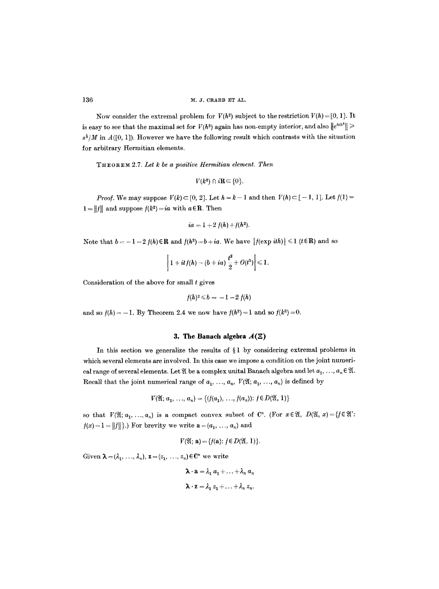Now consider the extremal problem for  $V(h^2)$  subject to the restriction  $V(h) = [0, 1]$ . It is easy to see that the maximal set for  $V(h^2)$  again has non-empty interior, and also  $||e^{ish^2}|| \geq$  $s^2/M$  in  $A([0, 1])$ . However we have the following result which contrasts with the situation for arbitrary Hermitian elements.

T~OREM 2.7. *Let k be a positive Hermitian element. Then* 

$$
V(k^2) \cap i\mathbf{R} \subset \{0\}.
$$

*Proof.* We may suppose  $V(k) \subset [0, 2]$ . Let  $h = k - 1$  and then  $V(h) \subset [-1, 1]$ . Let  $f(1) =$  $1 = ||f||$  and suppose  $f(k^2) = ia$  with  $a \in \mathbb{R}$ . Then

$$
ia = 1 + 2 f(h) + f(h^2).
$$

Note that  $b = -1-2f(h) \in \mathbb{R}$  and  $f(h^2) = b+ia$ . We have  $|f(\exp ith)| \leq 1$  ( $t \in \mathbb{R}$ ) and so

$$
\left|1+itf(h)-(b+ia)\,\frac{t^2}{2}+O(t^3)\right|\leqslant 1.
$$

Consideration of the above for small  $t$  gives

$$
f(h)^2 \leqslant b = -1 - 2 f(h)
$$

and so  $f(h) = -1$ . By Theorem 2.4 we now have  $f(h^2) = 1$  and so  $f(k^2) = 0$ .

# **3. The Banach algebra**  $A(\Xi)$

In this section we generalize the results of  $\S1$  by considering extremal problems in which several elements are involved. In this case we impose a condition on the joint numerical range of several elements. Let  $\mathfrak A$  be a complex unital Banach algebra and let  $a_1, \ldots, a_n \in \mathfrak A$ . Recall that the joint numerical range of  $a_1, \ldots, a_n$ ,  $V(\mathfrak{A}; a_1, \ldots, a_n)$  is defined by

$$
V(\mathfrak{A}; a_1, \ldots, a_n) = \{ (f(a_1), \ldots, f(a_n)) : f \in D(\mathfrak{A}, 1) \}
$$

so that  $V(\mathfrak{A}; a_1, \ldots, a_n)$  is a compact convex subset of  $\mathbb{C}^n$ . (For  $x \in \mathfrak{A}$ ,  $D(\mathfrak{A}, x) = \{f \in \mathfrak{A}' :$  $f(x) = 1 = ||f||$ .) For brevity we write  $\mathbf{a} = (a_1, \ldots, a_n)$  and

$$
V(\mathfrak{A};\,\mathbf{a})=\{f(\mathbf{a});\,f\in D(\mathfrak{A},\,1)\}.
$$

Given  $\lambda = (\lambda_1, \ldots, \lambda_n)$ ,  $\mathbf{z} = (z_1, \ldots, z_n) \in \mathbb{C}^n$  we write

$$
\lambda \cdot \mathbf{a} = \lambda_1 a_1 + \ldots + \lambda_n a_n
$$

$$
\lambda \cdot \mathbf{z} = \lambda_1 z_1 + \ldots + \lambda_n z_n.
$$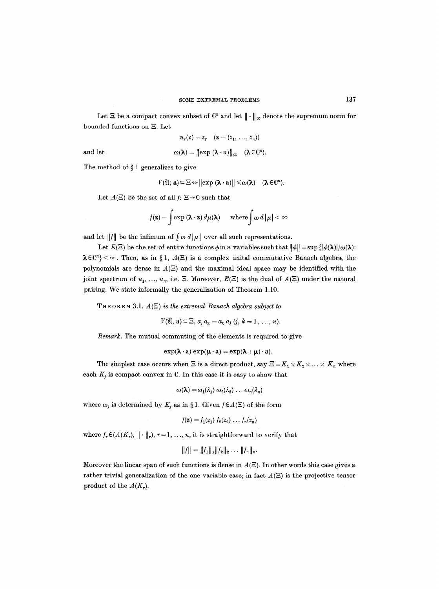Let  $\Xi$  be a compact convex subset of  $\mathbb{C}^n$  and let  $\|\cdot\|_{\infty}$  denote the supremum norm for bounded functions on  $\Xi.$  Let

$$
u_r(\mathbf{z})=z_r \quad (\mathbf{z}=(z_1,\ldots,z_n))
$$

and let 
$$
\omega(\lambda) = \|\exp(\lambda \cdot \mathbf{u})\|_{\infty} \quad (\lambda \in \mathbb{C}^n).
$$

The method of  $\S 1$  generalizes to give

$$
V(\mathfrak{A};\,\mathbf{a})\subset \Xi \Leftrightarrow \big\|\exp\left(\boldsymbol{\lambda}\cdot\mathbf{a}\right)\big\|\leqslant \omega(\boldsymbol{\lambda})\quad (\boldsymbol{\lambda}\in\mathbb{C}^n).
$$

Let  $A(\Xi)$  be the set of all  $f: \Xi \to \mathbb{C}$  such that

$$
f(\mathbf{z}) = \int \exp(\boldsymbol{\lambda} \cdot \mathbf{z}) \, d\mu(\boldsymbol{\lambda}) \quad \text{where} \int \omega \, d|\mu| < \infty
$$

and let  $||f||$  be the infimum of  $\int \omega d|\mu|$  over all such representations.

Let  $E(E)$  be the set of entire functions  $\phi$  in *n*-variables such that  $\|\phi\| = \sup \{|\phi(\lambda)|/\omega(\lambda)\}$ :  $\lambda \in \mathbb{C}^n$  <  $\infty$ . Then, as in § 1,  $A(\Xi)$  is a complex unital commutative Banach algebra, the polynomials are dense in  $A($ E $)$  and the maximal ideal space may be identified with the joint spectrum of  $u_1, ..., u_n$ , i.e.  $\Xi$ . Moreover,  $E(\Xi)$  is the dual of  $A(\Xi)$  under the natural pairing. We state informally the generalization of Theorem 1.10.

THEOREM 3.1.  $A(E)$  *is the extremal Banach algebra subject to* 

 $V(\mathfrak{A}, \mathbf{a}) \subseteq \Xi, a_i a_k = a_k a_j (j, k = 1, ..., n).$ 

*Remark.* The mutual commuting of the elements is required to give

$$
\exp(\lambda \cdot a) \exp(\mu \cdot a) = \exp(\lambda + \mu) \cdot a).
$$

The simplest case occurs when  $\Xi$  is a direct product, say  $\Xi = K_1 \times K_2 \times \ldots \times K_n$  where each  $K_j$  is compact convex in C. In this case it is easy to show that

$$
\omega(\lambda) = \omega_1(\lambda_1) \omega_2(\lambda_2) \ldots \omega_n(\lambda_n)
$$

where  $\omega_j$  is determined by  $K_j$  as in § 1. Given  $f \in A(\Xi)$  of the form

$$
f(\mathbf{z}) = f_1(z_1) f_2(z_2) \ldots f_n(z_n)
$$

where  $f_r \in (A(K_r), \| \cdot \|_r)$ ,  $r = 1, ..., n$ , it is straightforward to verify that

$$
||f|| = ||f_1||_1||f_2||_2 \ldots ||f_n||_n.
$$

Moreover the linear span of such functions is dense in  $A(E)$ . In other words this case gives a rather trivial generalization of the one variable case; in fact  $A(\Xi)$  is the projective tensor product of the  $A(K_r)$ .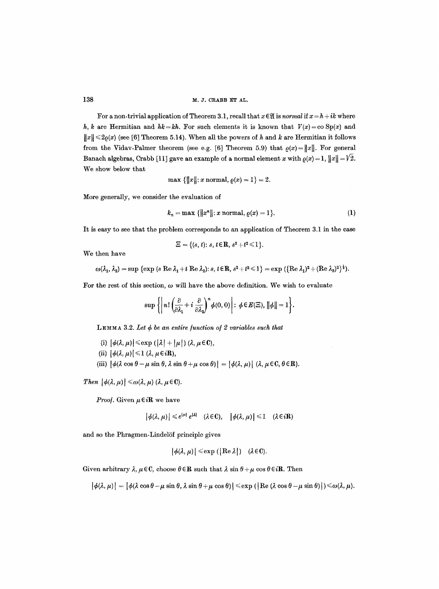For a non-trivial application of Theorem 3.1, recall that  $x \in \mathfrak{A}$  is *normal* if  $x = h + ik$  where h, k are Hermitian and  $hk=kh$ . For such elements it is known that  $V(x)=\infty$  Sp(x) and  $||x|| \le 2\rho(x)$  (see [6] Theorem 5.14). When all the powers of h and k are Hermitian it follows from the Vidav-Palmer theorem (see e.g. [6] Theorem 5.9) that  $\rho(x) = ||x||$ . For general Banach algebras, Crabb [11] gave an example of a normal element x with  $\rho(x) = 1$ ,  $||x|| = \sqrt{2}$ . We show below that

$$
\max \{||x||: x \text{ normal}, \varrho(x) = 1\} = 2.
$$

More generally, we consider the evaluation of

$$
k_n = \max \{ ||x^n|| : x \text{ normal}, \varrho(x) = 1 \}.
$$
 (1)

It is easy to see that the problem corresponds to an application of Theorem 3.1 in the case

$$
\Xi = \{(s,t)\colon s,t\in\mathbf{R}, s^2+t^2\leq 1\}.
$$

We then have

$$
\omega(\lambda_1, \lambda_2) = \sup \left\{ \exp \left( s \operatorname{Re} \lambda_1 + t \operatorname{Re} \lambda_2 \right) : s, t \in \mathbb{R}, s^2 + t^2 \leq 1 \right\} = \exp \left( \left\{ \operatorname{Re} \lambda_1 \right)^2 + \left( \operatorname{Re} \lambda_2 \right)^2 \right\}^{\frac{1}{2}}.
$$

For the rest of this section,  $\omega$  will have the above definition. We wish to evaluate

$$
\sup\left\{\left\|n!\left(\frac{\partial}{\partial\lambda_1}+i\,\frac{\partial}{\partial\lambda_2}\right)^n\phi(0,0)\right|:\,\phi\in E(\Xi),\,\|\phi\|=1\right\}.
$$

LEMMA 3.2. Let  $\phi$  be an entire function of 2 variables such that

- (i)  $|\phi(\lambda, \mu)| \leq \exp(|\lambda| + |\mu|) (\lambda, \mu \in \mathbb{C}),$
- (ii)  $\left[\phi(\lambda,\mu)\right] \leq 1$  ( $\lambda, \mu \in i\mathbb{R}$ ),
- (iii)  $|\phi(\lambda \cos \theta \mu \sin \theta, \lambda \sin \theta + \mu \cos \theta)| = |\phi(\lambda, \mu)|~ (\lambda, \mu \in \mathbb{C}, \theta \in \mathbb{R}).$

*Then*  $|\phi(\lambda,\mu)| \leq \omega(\lambda,\mu)$  ( $\lambda, \mu \in \mathbb{C}$ ).

*Proof.* Given  $\mu \in i\mathbb{R}$  we have

$$
|\phi(\lambda,\mu)| \leq e^{|\mu|} e^{|\lambda|} \quad (\lambda \in \mathbb{C}), \quad |\phi(\lambda,\mu)| \leq 1 \quad (\lambda \in i\mathbb{R})
$$

and so the Phragmen-Lindelöf principle gives

$$
|\phi(\lambda,\mu)| \leq \exp\left(\left[\mathop{\rm Re}\nolimits\lambda\right]\right) \quad (\lambda \in \mathbb{C}).
$$

Given arbitrary  $\lambda, \mu \in \mathbb{C}$ , choose  $\theta \in \mathbb{R}$  such that  $\lambda \sin \theta + \mu \cos \theta \in i\mathbb{R}$ . Then

 $|\phi(\lambda,\mu)| = |\phi(\lambda \cos \theta - \mu \sin \theta, \lambda \sin \theta + \mu \cos \theta)| \le \exp (|\text{Re}(\lambda \cos \theta - \mu \sin \theta)|) \le \omega(\lambda,\mu).$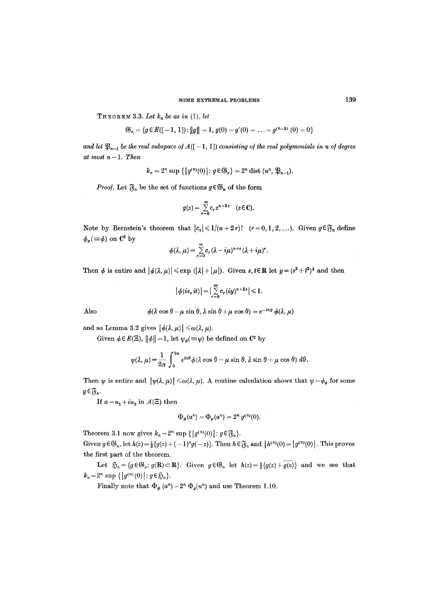THEOREM 3.3. Let  $k_n$  be as in  $(1)$ , let

 $\mathfrak{G}_n = \{g \in E([-1, 1]): ||g|| = 1, g(0) = g'(0) = \ldots = g^{(n-1)}(0) = 0\}$ 

*and let*  $\mathfrak{P}_{n-1}$  *be the real subspace of*  $A([-1, 1])$  *consisting of the real polymonials in u of degree at most n- 1. Then* 

 $k_n = 2^n \sup \{ |g^{(n)}(0)|: g \in \mathfrak{S}_n \} = 2^n \text{ dist } (u^n, \mathfrak{P}_{n-1}).$ 

*Proof.* Let  $\mathfrak{F}_n$  be the set of functions  $g \in \mathfrak{G}_n$  of the form

$$
g(z) = \sum_{r=0}^{\infty} c_r z^{n+2r} \quad (z \in \mathbb{C}).
$$

Note by Bernstein's theorem that  $|c_r| \leq 1/(n+2r)!$   $(r=0,1,2,...)$ . Given  $g \in \mathfrak{F}_n$  define  $\phi_q (\equiv \phi)$  on  $\mathbb{C}^2$  by

$$
\phi(\lambda,\mu)=\sum_{r=0}^{\infty}c_r(\lambda-i\mu)^{n+r}(\lambda+i\mu)^r.
$$

Then  $\phi$  is entire and  $|\phi(\lambda,\mu)| \leq \exp(|\lambda| + |\mu|)$ . Given s,  $t \in \mathbb{R}$  let  $y = (s^2 + t^2)^{\frac{1}{2}}$  and then

$$
\big|\,\phi(is,it)\big|=\big|\sum_{r=0}^\infty c_r(iy)^{n+2\,r}\big|\leqslant 1.
$$

Also  $\phi(\lambda \cos \theta - \mu \sin \theta, \lambda \sin \theta + \mu \cos \theta) = e^{-i n \theta} \phi(\lambda, \mu)$ 

and so Lemma 3.2 gives  $|\phi(\lambda, \mu)| \leq \omega(\lambda, \mu)$ .

Given  $\phi \in E(\Xi)$ ,  $\|\phi\| = 1$ , let  $\psi_{\phi} (\equiv \psi)$  be defined on  $\mathbb{C}^2$  by

$$
\psi(\lambda,\mu) = \frac{1}{2\pi} \int_0^{2\pi} e^{in\theta} \phi(\lambda \cos \theta - \mu \sin \theta, \lambda \sin \theta + \mu \cos \theta) d\theta.
$$

Then  $\psi$  is entire and  $|\psi(\lambda, \mu)| \le \omega(\lambda, \mu)$ . A routine calculation shows that  $\psi = \phi_g$  for some  $g \in \mathfrak{F}_n$ .

If  $a=u_1+iu_2$  in  $A(\Xi)$  then

$$
\Phi_{\phi}(a^n) = \Phi_{\psi}(a^n) = 2^n \, g^{(n)}(0).
$$

Theorem 3.1 now gives  $k_n=2^n$  sup  $\{|g^{(n)}(0)|: g \in \mathfrak{F}_n\}.$ 

Given  $g \in \mathfrak{S}_n$ , let  $h(z) = \frac{1}{2} \{g(z) + (-1)^n g(-z)\}$ . Then  $h \in \mathfrak{F}_n$  and  $|h^{(n)}(0)| = |g^{(n)}(0)|$ . This proves the first part of the theorem.

Let  $\mathfrak{H}_n = \{g \in \mathfrak{G}_n : g(\mathbf{R}) \subset \mathbf{R}\}.$  Given  $g \in \mathfrak{G}_n$  let  $h(z) = \frac{1}{2} \{g(z) + \overline{g(z)}\}$  and we see that  $k_n=2^n \sup \{ |g^{(n)}(0)| : g \in \mathfrak{H}_n \}.$ 

Finally note that  $\Phi_{\phi}(a^n) = 2^n \Phi_{\phi}(u^n)$  and use Theorem 1.10.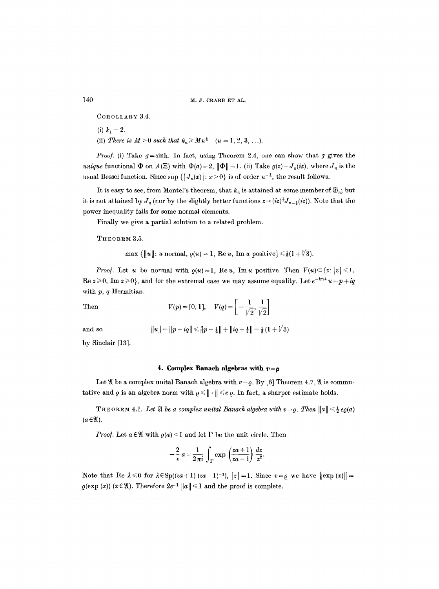140 M.J. CRABB ET AL.

COROLLARY 3.4.

- (i)  $k_1 = 2$ .
- (ii) *There is*  $M > 0$  *such that*  $k_n \geq M n^{\frac{1}{3}}$   $(n = 1, 2, 3, \ldots).$

*Proof.* (i) Take  $g = \sinh$ . In fact, using Theorem 2.4, one can show that g gives the *unique* functional  $\Phi$  on  $A(\Xi)$  with  $\Phi(a)=2$ ,  $\|\Phi\|=1$ . (ii) Take  $g(z)=J_n(iz)$ , where  $J_n$  is the usual Bessel function. Since sup  $\{|J_n(x)| : x > 0\}$  is of order  $n^{-\frac{1}{2}}$ , the result follows.

It is easy to see, from Montel's theorem, that  $k_n$  is attained at some member of  $\mathfrak{G}_n$ ; but it is not attained by  $J_n$  (nor by the slightly better functions  $z \rightarrow (iz)^{\frac{1}{2}} J_{n-\frac{1}{2}}(iz)$ ). Note that the power inequality fails for some normal elements.

Finally we give a partial solution to a related problem.

THEOREM 3.5.

$$
\max \{\|u\|: u \text{ normal}, \varrho(u) = 1, \text{ Re } u, \text{ Im } u \text{ positive}\} \leq \frac{1}{2}(1 + \sqrt{3}).
$$

*Proof.* Let u be normal with  $\rho(u)=1$ , Reu, Imu positive. Then  $V(u) \subset \{z : |z| \leq 1,$ Re  $z \ge 0$ , Im  $z \ge 0$ , and for the extremal case we may assume equality. Let  $e^{-i\pi/4} u = p + iq$ with  $p, q$  Hermitian.

Then 
$$
V(p) = [0, 1], \quad V(q) = \left[ -\frac{1}{\sqrt{2}}, \frac{1}{\sqrt{2}} \right]
$$

and so 
$$
||u|| = ||p + iq|| \le ||p - \frac{1}{2}|| + ||iq + \frac{1}{2}|| = \frac{1}{2}(1 + \sqrt{3})
$$

by Sinclair [13].

#### **4. Complex Banach algebras with**  $v = \rho$

Let  $\mathfrak A$  be a complex unital Banach algebra with  $v = \rho$ . By [6] Theorem 4.7,  $\mathfrak A$  is commutative and  $\varrho$  is an algebra norm with  $\varrho \leq \|\cdot\| \leq \epsilon \varrho$ . In fact, a sharper estimate holds.

**THEOREM 4.1.** Let  $\mathfrak{A}$  be a complex unital Banach algebra with  $v = \rho$ . Then  $||a|| \leq \frac{1}{2} e\rho(a)$  $(a \in \mathfrak{A})$ .

*Proof.* Let  $a \in \mathfrak{A}$  with  $\varrho(a) \leq 1$  and let  $\Gamma$  be the unit circle. Then

$$
-\frac{2}{e}a=\frac{1}{2\pi i}\int_{\Gamma}\exp\left(\frac{za+1}{za-1}\right)\frac{dz}{z^2}.
$$

Note that Re  $\lambda \leq 0$  for  $\lambda \in \text{Sp}((za+1)(za-1)^{-1})$ ,  $|z|=1$ . Since  $v=\rho$  we have  $\|\exp(x)\|$  $\varrho(\exp(x))$  ( $x \in \mathfrak{A}$ ). Therefore  $2e^{-1} ||a|| \leq 1$  and the proof is complete.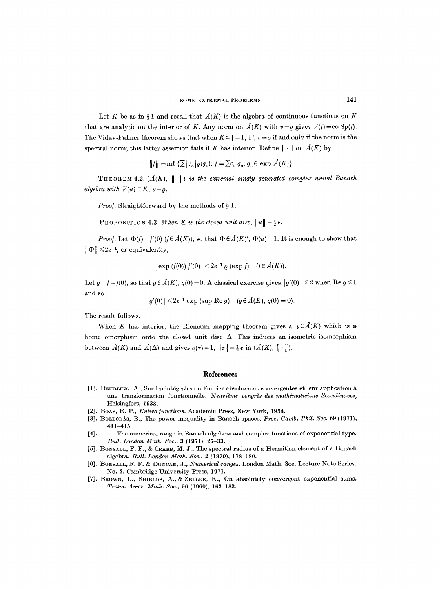Let K be as in § 1 and recall that  $\hat{A}(K)$  is the algebra of continuous functions on K that are analytic on the interior of K. Any norm on  $\tilde{A}(K)$  with  $v = \rho$  gives  $V(f) = \infty$  Sp(f). The Vidav-Palmer theorem shows that when  $K\subseteq [-1, 1]$ ,  $v = \rho$  if and only if the norm is the spectral norm; this latter assertion fails if K has interior. Define  $\|\cdot\|$  on  $\hat{A}(K)$  by

$$
||f|| = \inf \left\{ \sum |c_n| \varrho(g_n) : f = \sum c_n g_n, g_n \in \exp \mathcal{A}(K) \right\}.
$$

THEOREM 4.2.  $(A(K), \| \cdot \|)$  *is the extremal singly generated complex unital Banach algebra with*  $V(u) \subset K$ ,  $v = \rho$ .

*Proof.* Straightforward by the methods of § 1.

**PROPOSITION 4.3.** When K is the closed unit disc,  $||u|| = \frac{1}{2}e$ .

*Proof.* Let  $\Phi(f) = f'(0)$   $(f \in \hat{A}(K))$ , so that  $\Phi \in \hat{A}(K)'$ ,  $\Phi(u) = 1$ . It is enough to show that  $\|\Phi\| \leq 2e^{-1}$ , or equivalently,

$$
|\exp(f(0)) f'(0)| \leq 2e^{-1} \varrho (\exp f) \quad (f \in \hat{A}(K)).
$$

Let  $g = f - f(0)$ , so that  $g \in \hat{A}(K)$ ,  $g(0) = 0$ . A classical exercise gives  $|g'(0)| \leq 2$  when Re  $g \leq 1$ and so

$$
|g'(0)| \le 2e^{-1} \exp (\sup \text{Re } g) \quad (g \in \hat{A}(K), g(0) = 0).
$$

The result follows.

When K has interior, the Riemann mapping theorem gives a  $\tau \in \hat{A}(K)$  which is a home omorphism onto the closed unit disc  $\Delta$ . This induces an isometric isomorphism between  $\hat{A}(K)$  and  $\hat{A}(\Delta)$  and gives  $\varrho(\tau)=1$ ,  $\|\tau\|=\frac{1}{2}e$  in  $(\hat{A}(K), \|\cdot\|)$ .

#### **References**

- [1]. BEURLING, A., Sur les int6grales de Fourier absolument convergentes et leur application une transformation fonctionnelle. *Neuvième congrès des mathématiciens Scandinaves*, Helsingfors, 1938.
- [2]. Boas, R. P., *Entire functions*. Academic Press, New York, 1954.
- [3]. BOLLOBÁS, B., The power inequality in Banach spaces. *Proc. Camb. Phil. Soc.* 69 (1971), 411-415.
- [4]. -- The numerical range in Banach algebras and complex functions of exponential type. *Bull. London Math. Soc.,* 3 (1971), 27-33.
- [5]. BONSALL, F. F., & CRABB, M. J., The spectral radius of a Hermitian element of a Banach algebra. *Bull. London Math. Soc., 2* (1970), 178-180.
- [6]. BONSALL, F. F. & DUNCAN, J., *Numerical ranges*. London Math. Soc. Lecture Note Series, No. 2, Cambridge University Press, 1971.
- [7]. BROWN, L., SHIELDS, A., & ZELLER, K., On absolutely convergent exponential sums. *Trans. Amer. Math. Soc.,* 96 (1960), 162-183.